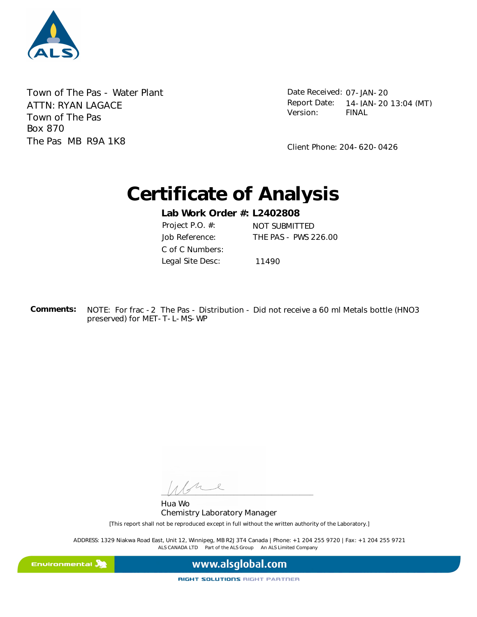

Town of The Pas - Water Plant Town of The Pas Box 870 The Pas MB R9A 1K8 ATTN: RYAN LAGACE

Date Received: 07-JAN-20 FINAL Report Date: 14-JAN-20 13:04 (MT) Version:

Client Phone: 204-620-0426

# **Certificate of Analysis**

**Lab Work Order #: L2402808** Job Reference: THE PAS - PWS 226.00 Project P.O. #: NOT SUBMITTED C of C Numbers: Legal Site Desc: 11490

NOTE: For frac -2 The Pas - Distribution - Did not receive a 60 ml Metals bottle (HNO3 preserved) for MET-T-L-MS-WP **Comments:** 

L  $\frac{1}{2}$ 

Hua Wo Chemistry Laboratory Manager

[This report shall not be reproduced except in full without the written authority of the Laboratory.]

ALS CANADA LTD Part of the ALS Group An ALS Limited Company ADDRESS: 1329 Niakwa Road East, Unit 12, Winnipeg, MB R2J 3T4 Canada | Phone: +1 204 255 9720 | Fax: +1 204 255 9721

Environmental **A** 

www.alsglobal.com

RIGHT SOLUTIONS RIGHT PARTNER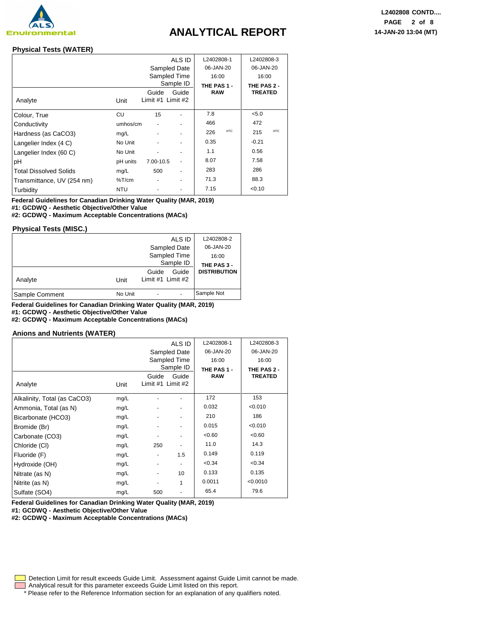

#### **Physical Tests (WATER)**

|                               |            |                            | ALS ID       | L2402808-1  |            | L2402808-3     |            |
|-------------------------------|------------|----------------------------|--------------|-------------|------------|----------------|------------|
|                               |            |                            | Sampled Date | 06-JAN-20   |            | 06-JAN-20      |            |
|                               |            |                            | Sampled Time | 16:00       |            | 16:00          |            |
|                               |            |                            | Sample ID    | THE PAS 1 - |            | THE PAS 2 -    |            |
| Analyte                       | Unit       | Guide<br>Limit #1 Limit #2 | Guide        | <b>RAW</b>  |            | <b>TREATED</b> |            |
| Colour, True                  | CU         | 15                         |              | 7.8         |            | < 5.0          |            |
| Conductivity                  | umhos/cm   |                            |              | 466         |            | 472            |            |
| Hardness (as CaCO3)           | mg/L       |                            |              | 226         | <b>HTC</b> | 215            | <b>HTC</b> |
| Langelier Index (4 C)         | No Unit    |                            |              | 0.35        |            | $-0.21$        |            |
| Langelier Index (60 C)        | No Unit    |                            |              | 1.1         |            | 0.56           |            |
| pH                            | pH units   | 7.00-10.5                  |              | 8.07        |            | 7.58           |            |
| <b>Total Dissolved Solids</b> | mg/L       | 500                        |              | 283         |            | 286            |            |
| Transmittance, UV (254 nm)    | %T/cm      |                            |              | 71.3        |            | 88.3           |            |
| Turbidity                     | <b>NTU</b> |                            |              | 7.15        |            | < 0.10         |            |

**Federal Guidelines for Canadian Drinking Water Quality (MAR, 2019) #1: GCDWQ - Aesthetic Objective/Other Value**

**#2: GCDWQ - Maximum Acceptable Concentrations (MACs)**

#### **Physical Tests (MISC.)**

|                |         | ALS ID                              | L2402808-2          |
|----------------|---------|-------------------------------------|---------------------|
|                |         | Sampled Date                        | 06-JAN-20           |
|                |         | 16:00                               |                     |
|                |         | Sample ID                           | THE PAS 3 -         |
| Analyte        | Unit    | Guide<br>Guide<br>Limit #1 Limit #2 | <b>DISTRIBUTION</b> |
| Sample Comment | No Unit | ٠                                   | Sample Not          |

**Federal Guidelines for Canadian Drinking Water Quality (MAR, 2019)**

**#1: GCDWQ - Aesthetic Objective/Other Value**

**#2: GCDWQ - Maximum Acceptable Concentrations (MACs)**

#### **Anions and Nutrients (WATER)**

|                              |      |                              | ALS ID                   | L2402808-1  | L2402808-3     |
|------------------------------|------|------------------------------|--------------------------|-------------|----------------|
|                              |      |                              | Sampled Date             | 06-JAN-20   | 06-JAN-20      |
|                              |      |                              | Sampled Time             | 16:00       | 16:00          |
|                              |      |                              | Sample ID                | THE PAS 1 - | THE PAS 2 -    |
|                              |      | Guide                        | Guide                    | <b>RAW</b>  | <b>TREATED</b> |
| Analyte                      | Unit | Limit $#1$ Limit $#2$        |                          |             |                |
| Alkalinity, Total (as CaCO3) | mg/L |                              |                          | 172         | 153            |
| Ammonia, Total (as N)        | mg/L |                              | $\overline{\phantom{a}}$ | 0.032       | < 0.010        |
| Bicarbonate (HCO3)           | mg/L |                              |                          | 210         | 186            |
| Bromide (Br)                 | mg/L |                              |                          | 0.015       | < 0.010        |
| Carbonate (CO3)              | mg/L | -                            | $\overline{\phantom{a}}$ | <0.60       | <0.60          |
| Chloride (CI)                | mg/L | 250                          | -                        | 11.0        | 14.3           |
| Fluoride (F)                 | mg/L | $\qquad \qquad \blacksquare$ | 1.5                      | 0.149       | 0.119          |
| Hydroxide (OH)               | mg/L |                              |                          | <0.34       | <0.34          |
| Nitrate (as N)               | mg/L | ۰                            | 10                       | 0.133       | 0.135          |
| Nitrite (as N)               | mg/L |                              | 1                        | 0.0011      | < 0.0010       |
| Sulfate (SO4)                | mg/L | 500                          | $\overline{\phantom{a}}$ | 65.4        | 79.6           |

**Federal Guidelines for Canadian Drinking Water Quality (MAR, 2019)**

**#1: GCDWQ - Aesthetic Objective/Other Value**

**#2: GCDWQ - Maximum Acceptable Concentrations (MACs)**

Detection Limit for result exceeds Guide Limit. Assessment against Guide Limit cannot be made.

Analytical result for this parameter exceeds Guide Limit listed on this report.

\* Please refer to the Reference Information section for an explanation of any qualifiers noted.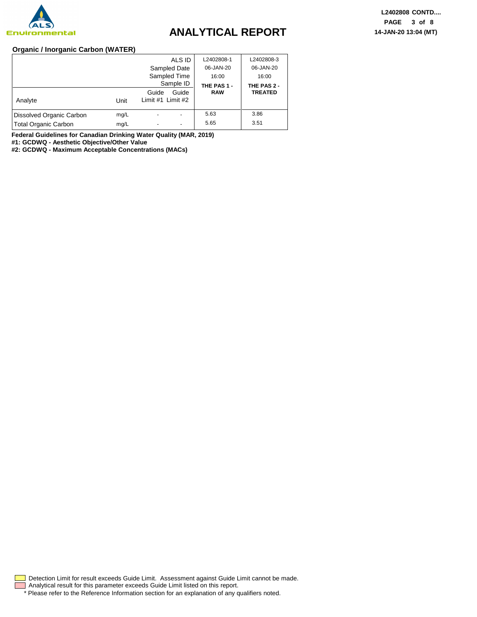

#### **Organic / Inorganic Carbon (WATER)**

|                             |      | ALS ID                              | L2402808-1  | L2402808-3     |
|-----------------------------|------|-------------------------------------|-------------|----------------|
|                             |      | Sampled Date                        | 06-JAN-20   | 06-JAN-20      |
|                             |      | Sampled Time                        | 16:00       | 16:00          |
|                             |      | Sample ID                           | THE PAS 1 - | THE PAS 2 -    |
| Analyte                     | Unit | Guide<br>Guide<br>Limit #1 Limit #2 | <b>RAW</b>  | <b>TREATED</b> |
| Dissolved Organic Carbon    | mg/L | ٠                                   | 5.63        | 3.86           |
| <b>Total Organic Carbon</b> | mg/L | $\overline{\phantom{a}}$            | 5.65        | 3.51           |

**Federal Guidelines for Canadian Drinking Water Quality (MAR, 2019)**

**#1: GCDWQ - Aesthetic Objective/Other Value**

**#2: GCDWQ - Maximum Acceptable Concentrations (MACs)**

\* Please refer to the Reference Information section for an explanation of any qualifiers noted. Analytical result for this parameter exceeds Guide Limit listed on this report. Detection Limit for result exceeds Guide Limit. Assessment against Guide Limit cannot be made.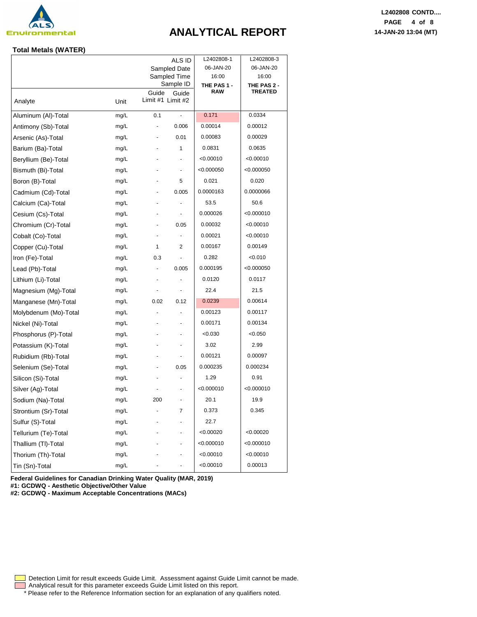

#### **Total Metals (WATER)**

|                       |      |                   | ALS ID<br>Sampled Date    | L2402808-1<br>06-JAN-20   | L2402808-3<br>06-JAN-20 |
|-----------------------|------|-------------------|---------------------------|---------------------------|-------------------------|
|                       |      |                   | Sampled Time<br>Sample ID | 16:00                     | 16:00                   |
|                       |      | Guide             | Guide                     | THE PAS 1 -<br><b>RAW</b> | THE PAS 2 -<br>TREATED  |
| Analyte               | Unit | Limit #1 Limit #2 |                           |                           |                         |
| Aluminum (Al)-Total   | mg/L | 0.1               | ÷,                        | 0.171                     | 0.0334                  |
| Antimony (Sb)-Total   | mg/L |                   | 0.006                     | 0.00014                   | 0.00012                 |
| Arsenic (As)-Total    | mg/L |                   | 0.01                      | 0.00083                   | 0.00029                 |
| Barium (Ba)-Total     | mg/L |                   | 1                         | 0.0831                    | 0.0635                  |
| Beryllium (Be)-Total  | mg/L |                   |                           | < 0.00010                 | < 0.00010               |
| Bismuth (Bi)-Total    | mg/L |                   | ٠                         | < 0.000050                | <0.000050               |
| Boron (B)-Total       | mg/L | ۰                 | 5                         | 0.021                     | 0.020                   |
| Cadmium (Cd)-Total    | mg/L |                   | 0.005                     | 0.0000163                 | 0.0000066               |
| Calcium (Ca)-Total    | mg/L |                   |                           | 53.5                      | 50.6                    |
| Cesium (Cs)-Total     | mg/L |                   | $\overline{a}$            | 0.000026                  | < 0.000010              |
| Chromium (Cr)-Total   | mg/L |                   | 0.05                      | 0.00032                   | < 0.00010               |
| Cobalt (Co)-Total     | mg/L |                   |                           | 0.00021                   | < 0.00010               |
| Copper (Cu)-Total     | mg/L | 1                 | 2                         | 0.00167                   | 0.00149                 |
| Iron (Fe)-Total       | mg/L | 0.3               |                           | 0.282                     | < 0.010                 |
| Lead (Pb)-Total       | mg/L |                   | 0.005                     | 0.000195                  | < 0.000050              |
| Lithium (Li)-Total    | mg/L | $\overline{a}$    | $\overline{\phantom{a}}$  | 0.0120                    | 0.0117                  |
| Magnesium (Mg)-Total  | mg/L |                   |                           | 22.4                      | 21.5                    |
| Manganese (Mn)-Total  | mg/L | 0.02              | 0.12                      | 0.0239                    | 0.00614                 |
| Molybdenum (Mo)-Total | mg/L |                   |                           | 0.00123                   | 0.00117                 |
| Nickel (Ni)-Total     | mg/L |                   |                           | 0.00171                   | 0.00134                 |
| Phosphorus (P)-Total  | mg/L |                   | ٠                         | < 0.030                   | < 0.050                 |
| Potassium (K)-Total   | mg/L |                   | ٠                         | 3.02                      | 2.99                    |
| Rubidium (Rb)-Total   | mg/L |                   |                           | 0.00121                   | 0.00097                 |
| Selenium (Se)-Total   | mg/L |                   | 0.05                      | 0.000235                  | 0.000234                |
| Silicon (Si)-Total    | mg/L |                   |                           | 1.29                      | 0.91                    |
| Silver (Ag)-Total     | mg/L |                   |                           | < 0.000010                | < 0.000010              |
| Sodium (Na)-Total     | mg/L | 200               | ٠                         | 20.1                      | 19.9                    |
| Strontium (Sr)-Total  | mg/L |                   | 7                         | 0.373                     | 0.345                   |
| Sulfur (S)-Total      | mg/L |                   |                           | 22.7                      |                         |
| Tellurium (Te)-Total  | mg/L |                   |                           | < 0.00020                 | < 0.00020               |
| Thallium (TI)-Total   | mg/L |                   |                           | < 0.000010                | < 0.000010              |
| Thorium (Th)-Total    | mg/L |                   |                           | < 0.00010                 | < 0.00010               |
| Tin (Sn)-Total        | mg/L |                   |                           | < 0.00010                 | 0.00013                 |
|                       |      |                   |                           |                           |                         |

**L2402808 CONTD.... PAGE 4 of 8**

**Federal Guidelines for Canadian Drinking Water Quality (MAR, 2019) #1: GCDWQ - Aesthetic Objective/Other Value**

**#2: GCDWQ - Maximum Acceptable Concentrations (MACs)**

Analytical result for this parameter exceeds Guide Limit listed on this report. Detection Limit for result exceeds Guide Limit. Assessment against Guide Limit cannot be made.

\* Please refer to the Reference Information section for an explanation of any qualifiers noted.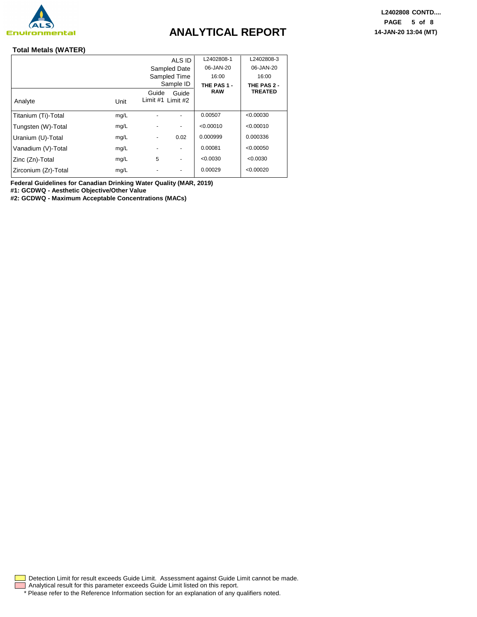

#### **Total Metals (WATER)**

|                      |      |                              | ALS ID                   | L2402808-1  | L2402808-3     |
|----------------------|------|------------------------------|--------------------------|-------------|----------------|
|                      |      |                              | Sampled Date             | 06-JAN-20   | 06-JAN-20      |
|                      |      |                              | Sampled Time             | 16:00       | 16:00          |
|                      |      |                              | Sample ID                | THE PAS 1 - | THE PAS 2 -    |
|                      |      | Guide                        | Guide                    | <b>RAW</b>  | <b>TREATED</b> |
| Analyte              | Unit | Limit #1 Limit #2            |                          |             |                |
| Titanium (Ti)-Total  | mg/L |                              |                          | 0.00507     | < 0.00030      |
| Tungsten (W)-Total   | mg/L |                              | $\overline{\phantom{a}}$ | < 0.00010   | < 0.00010      |
| Uranium (U)-Total    | mg/L | $\qquad \qquad \blacksquare$ | 0.02                     | 0.000999    | 0.000336       |
| Vanadium (V)-Total   | mg/L |                              | $\overline{\phantom{a}}$ | 0.00081     | < 0.00050      |
| Zinc (Zn)-Total      | mg/L | 5                            | $\overline{\phantom{a}}$ | < 0.0030    | < 0.0030       |
| Zirconium (Zr)-Total | mg/L |                              | $\overline{\phantom{a}}$ | 0.00029     | < 0.00020      |

**Federal Guidelines for Canadian Drinking Water Quality (MAR, 2019)**

**#1: GCDWQ - Aesthetic Objective/Other Value**

**#2: GCDWQ - Maximum Acceptable Concentrations (MACs)**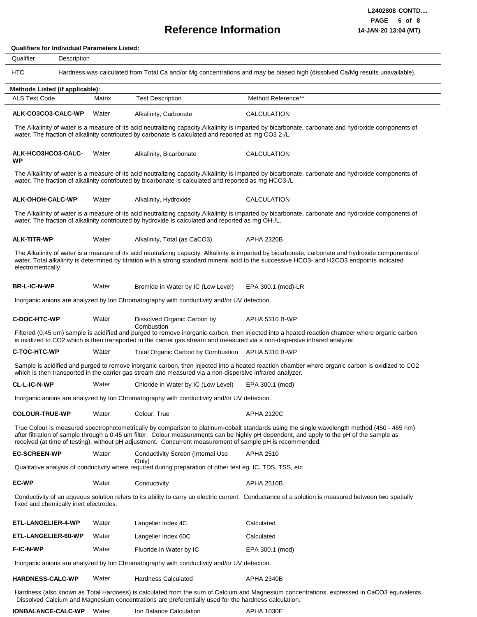### **Reference Information**

#### **Qualifiers for Individual Parameters Listed:**

| Qualifier<br>Description               |        |                                                                                                                             |                                                                                                                                                                                                                                                                                                      |
|----------------------------------------|--------|-----------------------------------------------------------------------------------------------------------------------------|------------------------------------------------------------------------------------------------------------------------------------------------------------------------------------------------------------------------------------------------------------------------------------------------------|
| <b>HTC</b>                             |        |                                                                                                                             | Hardness was calculated from Total Ca and/or Mg concentrations and may be biased high (dissolved Ca/Mg results unavailable).                                                                                                                                                                         |
| Methods Listed (if applicable):        |        |                                                                                                                             |                                                                                                                                                                                                                                                                                                      |
| <b>ALS Test Code</b>                   | Matrix | <b>Test Description</b>                                                                                                     | Method Reference**                                                                                                                                                                                                                                                                                   |
| ALK-CO3CO3-CALC-WP                     | Water  | Alkalinity, Carbonate                                                                                                       | CALCULATION                                                                                                                                                                                                                                                                                          |
|                                        |        | water. The fraction of alkalinity contributed by carbonate is calculated and reported as mg CO3 2-/L.                       | The Alkalinity of water is a measure of its acid neutralizing capacity. Alkalinity is imparted by bicarbonate, carbonate and hydroxide components of                                                                                                                                                 |
| ALK-HCO3HCO3-CALC-<br>WP               | Water  | Alkalinity, Bicarbonate                                                                                                     | CALCULATION                                                                                                                                                                                                                                                                                          |
|                                        |        | water. The fraction of alkalinity contributed by bicarbonate is calculated and reported as mg HCO3-/L                       | The Alkalinity of water is a measure of its acid neutralizing capacity.Alkalinity is imparted by bicarbonate, carbonate and hydroxide components of                                                                                                                                                  |
| <b>ALK-OHOH-CALC-WP</b>                | Water  | Alkalinity, Hydroxide                                                                                                       | CALCULATION                                                                                                                                                                                                                                                                                          |
|                                        |        | water. The fraction of alkalinity contributed by hydroxide is calculated and reported as mg OH-/L.                          | The Alkalinity of water is a measure of its acid neutralizing capacity. Alkalinity is imparted by bicarbonate, carbonate and hydroxide components of                                                                                                                                                 |
| <b>ALK-TITR-WP</b>                     | Water  | Alkalinity, Total (as CaCO3)                                                                                                | <b>APHA 2320B</b>                                                                                                                                                                                                                                                                                    |
| electrometrically.                     |        |                                                                                                                             | The Alkalinity of water is a measure of its acid neutralizing capacity. Alkalinity is imparted by bicarbonate, carbonate and hydroxide components of<br>water. Total alkalinity is determined by titration with a strong standard mineral acid to the successive HCO3- and H2CO3 endpoints indicated |
| <b>BR-L-IC-N-WP</b>                    | Water  | Bromide in Water by IC (Low Level)                                                                                          | EPA 300.1 (mod)-LR                                                                                                                                                                                                                                                                                   |
|                                        |        | Inorganic anions are analyzed by Ion Chromatography with conductivity and/or UV detection.                                  |                                                                                                                                                                                                                                                                                                      |
| <b>C-DOC-HTC-WP</b>                    | Water  | Dissolved Organic Carbon by<br>Combustion                                                                                   | APHA 5310 B-WP                                                                                                                                                                                                                                                                                       |
|                                        |        | is oxidized to CO2 which is then transported in the carrier gas stream and measured via a non-dispersive infrared analyzer. | Filtered (0.45 um) sample is acidified and purged to remove inorganic carbon, then injected into a heated reaction chamber where organic carbon                                                                                                                                                      |
| <b>C-TOC-HTC-WP</b>                    | Water  | Total Organic Carbon by Combustion APHA 5310 B-WP                                                                           |                                                                                                                                                                                                                                                                                                      |
|                                        |        | which is then transported in the carrier gas stream and measured via a non-dispersive infrared analyzer.                    | Sample is acidified and purged to remove inorganic carbon, then injected into a heated reaction chamber where organic carbon is oxidized to CO2                                                                                                                                                      |
| <b>CL-L-IC-N-WP</b>                    | Water  | Chloride in Water by IC (Low Level)                                                                                         | EPA 300.1 (mod)                                                                                                                                                                                                                                                                                      |
|                                        |        | Inorganic anions are analyzed by Ion Chromatography with conductivity and/or UV detection.                                  |                                                                                                                                                                                                                                                                                                      |
| <b>COLOUR-TRUE-WP</b>                  | Water  | Colour, True                                                                                                                | <b>APHA 2120C</b>                                                                                                                                                                                                                                                                                    |
|                                        |        | received (at time of testing), without pH adjustment. Concurrent measurement of sample pH is recommended.                   | True Colour is measured spectrophotometrically by comparison to platinum-cobalt standards using the single wavelength method (450 - 465 nm)<br>after filtration of sample through a 0.45 um filter. Colour measurements can be highly pH dependent, and apply to the pH of the sample as             |
| <b>EC-SCREEN-WP</b>                    | Water  | <b>Conductivity Screen (Internal Use</b>                                                                                    | APHA 2510                                                                                                                                                                                                                                                                                            |
|                                        |        | Only)<br>Qualitative analysis of conductivity where required during preparation of other test eg. IC, TDS, TSS, etc         |                                                                                                                                                                                                                                                                                                      |
| <b>EC-WP</b>                           | Water  | Conductivity                                                                                                                | <b>APHA 2510B</b>                                                                                                                                                                                                                                                                                    |
| fixed and chemically inert electrodes. |        |                                                                                                                             | Conductivity of an aqueous solution refers to its ability to carry an electric current. Conductance of a solution is measured between two spatially                                                                                                                                                  |
| ETL-LANGELIER-4-WP                     | Water  | Langelier Index 4C                                                                                                          | Calculated                                                                                                                                                                                                                                                                                           |
|                                        |        |                                                                                                                             |                                                                                                                                                                                                                                                                                                      |
| ETL-LANGELIER-60-WP                    | Water  | Langelier Index 60C                                                                                                         | Calculated                                                                                                                                                                                                                                                                                           |

| <b>HARDNESS-CALC-WP</b> | Water | <b>Hardness Calculated</b> | <b>APHA 2340B</b> |
|-------------------------|-------|----------------------------|-------------------|
|                         |       |                            |                   |

Hardness (also known as Total Hardness) is calculated from the sum of Calcium and Magnesium concentrations, expressed in CaCO3 equivalents. Dissolved Calcium and Magnesium concentrations are preferentially used for the hardness calculation.

**IONBALANCE-CALC-WP** Water Ion Balance Calculation APHA 1030E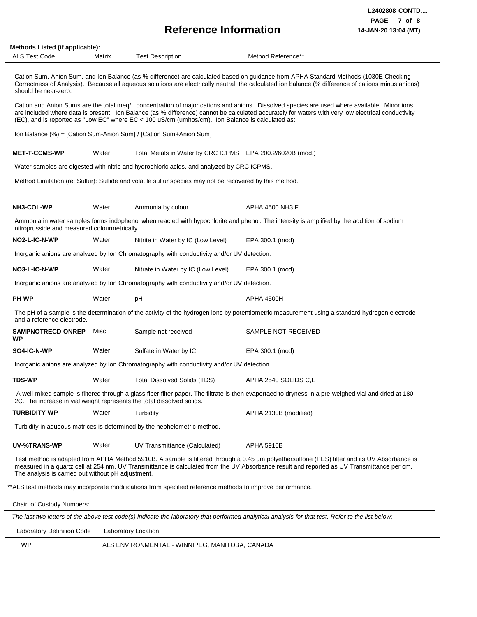# **Reference Information 14-JAN-20 13:04 (MT)**

| <b>ALS Test Code</b>                               | Matrix | <b>Test Description</b>                                                                                  | Method Reference**                                                                                                                                                                                                                                                                                |
|----------------------------------------------------|--------|----------------------------------------------------------------------------------------------------------|---------------------------------------------------------------------------------------------------------------------------------------------------------------------------------------------------------------------------------------------------------------------------------------------------|
| should be near-zero.                               |        |                                                                                                          | Cation Sum, Anion Sum, and Ion Balance (as % difference) are calculated based on guidance from APHA Standard Methods (1030E Checking<br>Correctness of Analysis). Because all aqueous solutions are electrically neutral, the calculated ion balance (% difference of cations minus anions)       |
|                                                    |        | (EC), and is reported as "Low EC" where EC < 100 uS/cm (umhos/cm). Ion Balance is calculated as:         | Cation and Anion Sums are the total meg/L concentration of major cations and anions. Dissolved species are used where available. Minor ions<br>are included where data is present. Ion Balance (as % difference) cannot be calculated accurately for waters with very low electrical conductivity |
|                                                    |        | Ion Balance (%) = [Cation Sum-Anion Sum] / [Cation Sum+Anion Sum]                                        |                                                                                                                                                                                                                                                                                                   |
| <b>MET-T-CCMS-WP</b>                               | Water  | Total Metals in Water by CRC ICPMS EPA 200.2/6020B (mod.)                                                |                                                                                                                                                                                                                                                                                                   |
|                                                    |        | Water samples are digested with nitric and hydrochloric acids, and analyzed by CRC ICPMS.                |                                                                                                                                                                                                                                                                                                   |
|                                                    |        | Method Limitation (re: Sulfur): Sulfide and volatile sulfur species may not be recovered by this method. |                                                                                                                                                                                                                                                                                                   |
| NH3-COL-WP                                         | Water  | Ammonia by colour                                                                                        | APHA 4500 NH3 F                                                                                                                                                                                                                                                                                   |
| nitroprusside and measured colourmetrically.       |        |                                                                                                          | Ammonia in water samples forms indophenol when reacted with hypochlorite and phenol. The intensity is amplified by the addition of sodium                                                                                                                                                         |
| NO2-L-IC-N-WP                                      | Water  | Nitrite in Water by IC (Low Level)                                                                       | EPA 300.1 (mod)                                                                                                                                                                                                                                                                                   |
|                                                    |        | Inorganic anions are analyzed by Ion Chromatography with conductivity and/or UV detection.               |                                                                                                                                                                                                                                                                                                   |
| NO3-L-IC-N-WP                                      | Water  | Nitrate in Water by IC (Low Level)                                                                       | EPA 300.1 (mod)                                                                                                                                                                                                                                                                                   |
|                                                    |        | Inorganic anions are analyzed by Ion Chromatography with conductivity and/or UV detection.               |                                                                                                                                                                                                                                                                                                   |
| <b>PH-WP</b>                                       | Water  | pH                                                                                                       | <b>APHA 4500H</b>                                                                                                                                                                                                                                                                                 |
| and a reference electrode.                         |        |                                                                                                          | The pH of a sample is the determination of the activity of the hydrogen ions by potentiometric measurement using a standard hydrogen electrode                                                                                                                                                    |
| <b>SAMPNOTRECD-ONREP- Misc.</b><br><b>WP</b>       |        | Sample not received                                                                                      | SAMPLE NOT RECEIVED                                                                                                                                                                                                                                                                               |
| SO4-IC-N-WP                                        | Water  | Sulfate in Water by IC                                                                                   | EPA 300.1 (mod)                                                                                                                                                                                                                                                                                   |
|                                                    |        | Inorganic anions are analyzed by Ion Chromatography with conductivity and/or UV detection.               |                                                                                                                                                                                                                                                                                                   |
| <b>TDS-WP</b>                                      | Water  | <b>Total Dissolved Solids (TDS)</b>                                                                      | APHA 2540 SOLIDS C.E                                                                                                                                                                                                                                                                              |
|                                                    |        | 2C. The increase in vial weight represents the total dissolved solids.                                   | A well-mixed sample is filtered through a glass fiber filter paper. The filtrate is then evaportaed to dryness in a pre-weighed vial and dried at 180 -                                                                                                                                           |
| <b>TURBIDITY-WP</b>                                | Water  | Turbidity                                                                                                | APHA 2130B (modified)                                                                                                                                                                                                                                                                             |
|                                                    |        | Turbidity in aqueous matrices is determined by the nephelometric method.                                 |                                                                                                                                                                                                                                                                                                   |
| UV-%TRANS-WP                                       | Water  | UV Transmittance (Calculated)                                                                            | <b>APHA 5910B</b>                                                                                                                                                                                                                                                                                 |
| The analysis is carried out without pH adjustment. |        |                                                                                                          | Test method is adapted from APHA Method 5910B. A sample is filtered through a 0.45 um polyethersulfone (PES) filter and its UV Absorbance is<br>measured in a quartz cell at 254 nm. UV Transmittance is calculated from the UV Absorbance result and reported as UV Transmittance per cm.        |

*The last two letters of the above test code(s) indicate the laboratory that performed analytical analysis for that test. Refer to the list below:*

Chain of Custody Numbers:

| Laboratory Definition Code | Laboratory Location                            |
|----------------------------|------------------------------------------------|
| WP                         | ALS ENVIRONMENTAL - WINNIPEG, MANITOBA, CANADA |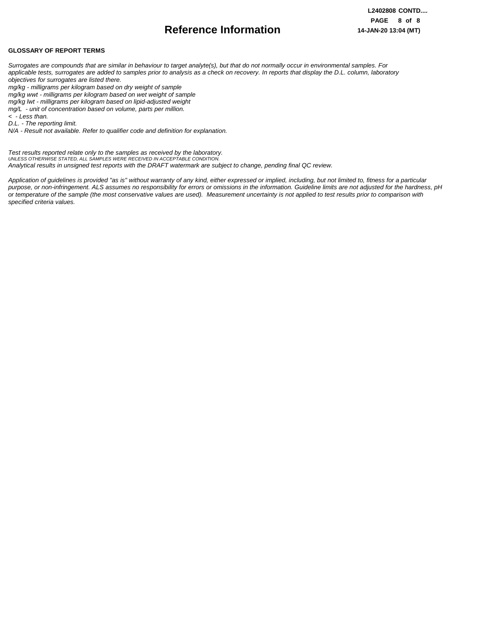## **Reference Information**

#### **GLOSSARY OF REPORT TERMS**

*Surrogates are compounds that are similar in behaviour to target analyte(s), but that do not normally occur in environmental samples. For applicable tests, surrogates are added to samples prior to analysis as a check on recovery. In reports that display the D.L. column, laboratory objectives for surrogates are listed there.*

*mg/kg - milligrams per kilogram based on dry weight of sample*

*mg/kg wwt - milligrams per kilogram based on wet weight of sample*

*mg/kg lwt - milligrams per kilogram based on lipid-adjusted weight* 

*mg/L - unit of concentration based on volume, parts per million.*

*< - Less than.*

*D.L. - The reporting limit.*

*N/A - Result not available. Refer to qualifier code and definition for explanation.*

*Test results reported relate only to the samples as received by the laboratory. UNLESS OTHERWISE STATED, ALL SAMPLES WERE RECEIVED IN ACCEPTABLE CONDITION. Analytical results in unsigned test reports with the DRAFT watermark are subject to change, pending final QC review.*

*Application of guidelines is provided "as is" without warranty of any kind, either expressed or implied, including, but not limited to, fitness for a particular purpose, or non-infringement. ALS assumes no responsibility for errors or omissions in the information. Guideline limits are not adjusted for the hardness, pH or temperature of the sample (the most conservative values are used). Measurement uncertainty is not applied to test results prior to comparison with specified criteria values.*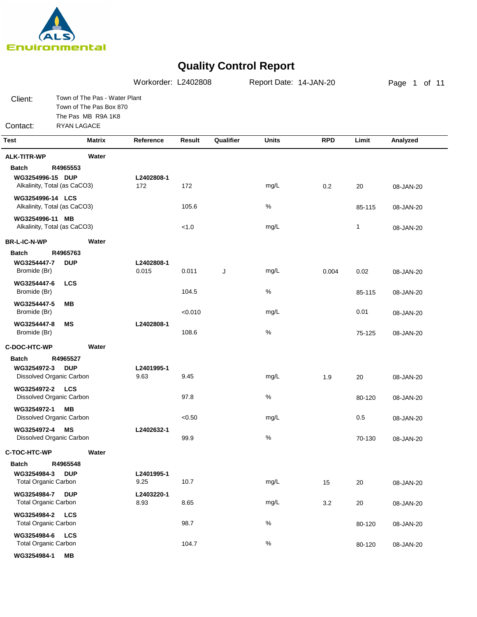

|                                            |                                                                                                      | Workorder: L2402808 |         |           | Report Date: 14-JAN-20 |            |              | Page 1 of 11 |  |
|--------------------------------------------|------------------------------------------------------------------------------------------------------|---------------------|---------|-----------|------------------------|------------|--------------|--------------|--|
| Client:<br>Contact:                        | Town of The Pas - Water Plant<br>Town of The Pas Box 870<br>The Pas MB R9A 1K8<br><b>RYAN LAGACE</b> |                     |         |           |                        |            |              |              |  |
| <b>Test</b>                                | <b>Matrix</b>                                                                                        | Reference           | Result  | Qualifier | <b>Units</b>           | <b>RPD</b> | Limit        | Analyzed     |  |
| <b>ALK-TITR-WP</b>                         | Water                                                                                                |                     |         |           |                        |            |              |              |  |
| <b>Batch</b>                               | R4965553                                                                                             |                     |         |           |                        |            |              |              |  |
| WG3254996-15 DUP                           |                                                                                                      | L2402808-1          |         |           |                        |            |              |              |  |
|                                            | Alkalinity, Total (as CaCO3)                                                                         | 172                 | 172     |           | mg/L                   | 0.2        | 20           | 08-JAN-20    |  |
| WG3254996-14 LCS                           | Alkalinity, Total (as CaCO3)                                                                         |                     | 105.6   |           | $\%$                   |            | 85-115       | 08-JAN-20    |  |
| WG3254996-11 MB                            |                                                                                                      |                     |         |           |                        |            |              |              |  |
|                                            | Alkalinity, Total (as CaCO3)                                                                         |                     | < 1.0   |           | mg/L                   |            | $\mathbf{1}$ | 08-JAN-20    |  |
| <b>BR-L-IC-N-WP</b>                        | Water                                                                                                |                     |         |           |                        |            |              |              |  |
| <b>Batch</b>                               | R4965763                                                                                             |                     |         |           |                        |            |              |              |  |
| WG3254447-7                                | <b>DUP</b>                                                                                           | L2402808-1          |         |           |                        |            |              |              |  |
| Bromide (Br)                               |                                                                                                      | 0.015               | 0.011   | J         | mg/L                   | 0.004      | 0.02         | 08-JAN-20    |  |
| WG3254447-6                                | <b>LCS</b>                                                                                           |                     |         |           |                        |            |              |              |  |
| Bromide (Br)                               |                                                                                                      |                     | 104.5   |           | $\%$                   |            | 85-115       | 08-JAN-20    |  |
| WG3254447-5<br>Bromide (Br)                | MВ                                                                                                   |                     | < 0.010 |           | mg/L                   |            | 0.01         | 08-JAN-20    |  |
| WG3254447-8<br>Bromide (Br)                | ΜS                                                                                                   | L2402808-1          | 108.6   |           | $\%$                   |            | 75-125       | 08-JAN-20    |  |
| C-DOC-HTC-WP                               | Water                                                                                                |                     |         |           |                        |            |              |              |  |
| <b>Batch</b>                               | R4965527                                                                                             |                     |         |           |                        |            |              |              |  |
| WG3254972-3                                | <b>DUP</b>                                                                                           | L2401995-1          |         |           |                        |            |              |              |  |
|                                            | Dissolved Organic Carbon                                                                             | 9.63                | 9.45    |           | mg/L                   | 1.9        | 20           | 08-JAN-20    |  |
| WG3254972-2 LCS                            |                                                                                                      |                     |         |           | $\%$                   |            |              |              |  |
|                                            | Dissolved Organic Carbon                                                                             |                     | 97.8    |           |                        |            | 80-120       | 08-JAN-20    |  |
| WG3254972-1                                | MВ<br>Dissolved Organic Carbon                                                                       |                     | < 0.50  |           | mg/L                   |            | 0.5          | 08-JAN-20    |  |
| WG3254972-4                                | <b>MS</b>                                                                                            | L2402632-1          |         |           |                        |            |              |              |  |
|                                            | Dissolved Organic Carbon                                                                             |                     | 99.9    |           | $\%$                   |            | 70-130       | 08-JAN-20    |  |
| C-TOC-HTC-WP                               | Water                                                                                                |                     |         |           |                        |            |              |              |  |
| <b>Batch</b>                               | R4965548                                                                                             |                     |         |           |                        |            |              |              |  |
| WG3254984-3                                | <b>DUP</b>                                                                                           | L2401995-1          |         |           |                        |            |              |              |  |
| <b>Total Organic Carbon</b>                |                                                                                                      | 9.25                | 10.7    |           | mg/L                   | 15         | 20           | 08-JAN-20    |  |
| WG3254984-7                                | <b>DUP</b>                                                                                           | L2403220-1          |         |           |                        |            |              |              |  |
| <b>Total Organic Carbon</b>                |                                                                                                      | 8.93                | 8.65    |           | mg/L                   | 3.2        | 20           | 08-JAN-20    |  |
| WG3254984-2<br><b>Total Organic Carbon</b> | <b>LCS</b>                                                                                           |                     | 98.7    |           | $\%$                   |            | 80-120       | 08-JAN-20    |  |
| WG3254984-6 LCS                            |                                                                                                      |                     |         |           |                        |            |              |              |  |
| <b>Total Organic Carbon</b>                |                                                                                                      |                     | 104.7   |           | $\%$                   |            | 80-120       | 08-JAN-20    |  |
| WG3254984-1                                | MВ                                                                                                   |                     |         |           |                        |            |              |              |  |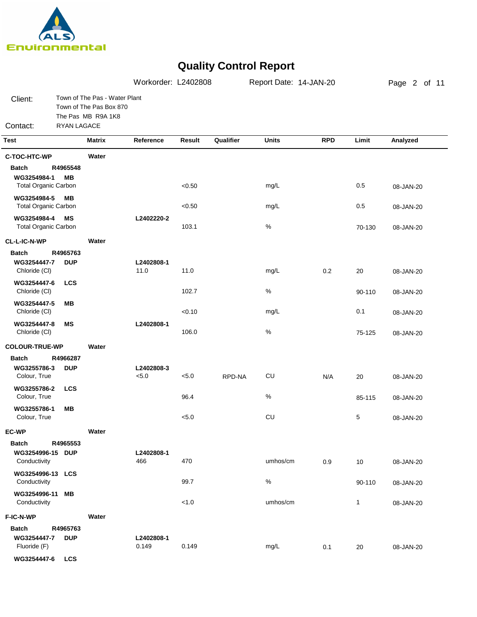

|                                                            |                        |                                                                                | Workorder: L2402808 |        |           | Report Date: 14-JAN-20 |            |        | Page 2 of 11 |
|------------------------------------------------------------|------------------------|--------------------------------------------------------------------------------|---------------------|--------|-----------|------------------------|------------|--------|--------------|
| Client:<br>Contact:                                        | RYAN LAGACE            | Town of The Pas - Water Plant<br>Town of The Pas Box 870<br>The Pas MB R9A 1K8 |                     |        |           |                        |            |        |              |
| <b>Test</b>                                                |                        | <b>Matrix</b>                                                                  | Reference           | Result | Qualifier | <b>Units</b>           | <b>RPD</b> | Limit  | Analyzed     |
| C-TOC-HTC-WP                                               |                        | Water                                                                          |                     |        |           |                        |            |        |              |
| <b>Batch</b><br>WG3254984-1<br><b>Total Organic Carbon</b> | R4965548<br><b>MB</b>  |                                                                                |                     | < 0.50 |           | mg/L                   |            | 0.5    | 08-JAN-20    |
| WG3254984-5<br><b>Total Organic Carbon</b>                 | <b>MB</b>              |                                                                                |                     | < 0.50 |           | mg/L                   |            | 0.5    | 08-JAN-20    |
| WG3254984-4<br><b>Total Organic Carbon</b>                 | <b>MS</b>              |                                                                                | L2402220-2          | 103.1  |           | $\%$                   |            | 70-130 | 08-JAN-20    |
| <b>CL-L-IC-N-WP</b>                                        |                        | Water                                                                          |                     |        |           |                        |            |        |              |
| <b>Batch</b><br>WG3254447-7<br>Chloride (CI)               | R4965763<br><b>DUP</b> |                                                                                | L2402808-1<br>11.0  | 11.0   |           | mg/L                   | 0.2        | 20     | 08-JAN-20    |
| WG3254447-6<br>Chloride (CI)                               | <b>LCS</b>             |                                                                                |                     | 102.7  |           | $\%$                   |            | 90-110 | 08-JAN-20    |
| WG3254447-5<br>Chloride (CI)                               | MВ                     |                                                                                |                     | < 0.10 |           | mg/L                   |            | 0.1    | 08-JAN-20    |
| WG3254447-8<br>Chloride (CI)                               | <b>MS</b>              |                                                                                | L2402808-1          | 106.0  |           | $\%$                   |            | 75-125 | 08-JAN-20    |
| <b>COLOUR-TRUE-WP</b>                                      |                        | Water                                                                          |                     |        |           |                        |            |        |              |
| <b>Batch</b><br>WG3255786-3<br>Colour, True                | R4966287<br><b>DUP</b> |                                                                                | L2402808-3<br>< 5.0 | < 5.0  | RPD-NA    | CU                     | N/A        | 20     | 08-JAN-20    |
| WG3255786-2<br>Colour, True                                | <b>LCS</b>             |                                                                                |                     | 96.4   |           | $\%$                   |            | 85-115 | 08-JAN-20    |
| WG3255786-1<br>Colour, True                                | <b>MB</b>              |                                                                                |                     | < 5.0  |           | CU                     |            | 5      | 08-JAN-20    |
| <b>EC-WP</b>                                               |                        | Water                                                                          |                     |        |           |                        |            |        |              |
| <b>Batch</b><br>WG3254996-15 DUP<br>Conductivity           | R4965553               |                                                                                | L2402808-1<br>466   | 470    |           | umhos/cm               | 0.9        | 10     | 08-JAN-20    |
| WG3254996-13 LCS<br>Conductivity                           |                        |                                                                                |                     | 99.7   |           | $\%$                   |            | 90-110 | 08-JAN-20    |
| WG3254996-11<br>Conductivity                               | MВ                     |                                                                                |                     | < 1.0  |           | umhos/cm               |            | 1      | 08-JAN-20    |
| F-IC-N-WP                                                  |                        | Water                                                                          |                     |        |           |                        |            |        |              |
| <b>Batch</b><br>WG3254447-7<br>Fluoride (F)                | R4965763<br><b>DUP</b> |                                                                                | L2402808-1<br>0.149 | 0.149  |           | mg/L                   | 0.1        | 20     | 08-JAN-20    |
| WG3254447-6                                                | <b>LCS</b>             |                                                                                |                     |        |           |                        |            |        |              |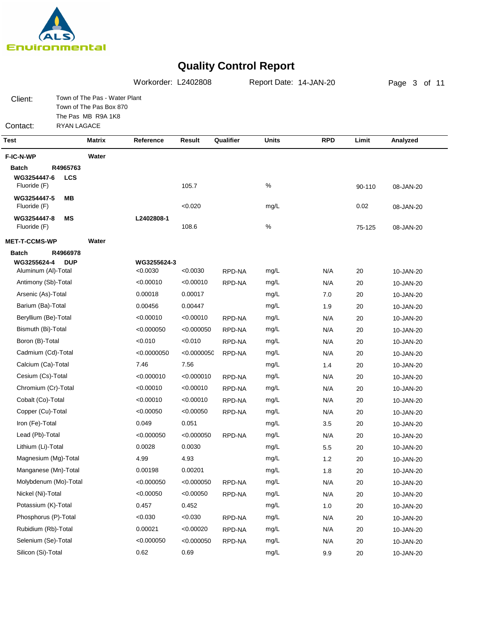

|                                             |                        |                                                                                | Workorder: L2402808 |             |           | Report Date: 14-JAN-20 | Page 3 of 11 |        |           |
|---------------------------------------------|------------------------|--------------------------------------------------------------------------------|---------------------|-------------|-----------|------------------------|--------------|--------|-----------|
| Client:                                     |                        | Town of The Pas - Water Plant<br>Town of The Pas Box 870<br>The Pas MB R9A 1K8 |                     |             |           |                        |              |        |           |
| Contact:                                    | RYAN LAGACE            |                                                                                |                     |             |           |                        |              |        |           |
| <b>Test</b>                                 |                        | <b>Matrix</b>                                                                  | Reference           | Result      | Qualifier | Units                  | <b>RPD</b>   | Limit  | Analyzed  |
| F-IC-N-WP                                   |                        | Water                                                                          |                     |             |           |                        |              |        |           |
| <b>Batch</b><br>WG3254447-6<br>Fluoride (F) | R4965763<br><b>LCS</b> |                                                                                |                     | 105.7       |           | $\%$                   |              | 90-110 | 08-JAN-20 |
| WG3254447-5<br>Fluoride (F)                 | MВ                     |                                                                                |                     | < 0.020     |           | mg/L                   |              | 0.02   | 08-JAN-20 |
| WG3254447-8<br>Fluoride (F)                 | ΜS                     |                                                                                | L2402808-1          | 108.6       |           | $\%$                   |              | 75-125 | 08-JAN-20 |
| <b>MET-T-CCMS-WP</b>                        |                        | Water                                                                          |                     |             |           |                        |              |        |           |
| <b>Batch</b>                                | R4966978               |                                                                                |                     |             |           |                        |              |        |           |
| WG3255624-4                                 | <b>DUP</b>             |                                                                                | WG3255624-3         |             |           |                        |              |        |           |
| Aluminum (Al)-Total                         |                        |                                                                                | < 0.0030            | < 0.0030    | RPD-NA    | mg/L                   | N/A          | 20     | 10-JAN-20 |
| Antimony (Sb)-Total                         |                        |                                                                                | <0.00010            | < 0.00010   | RPD-NA    | mg/L                   | N/A          | 20     | 10-JAN-20 |
| Arsenic (As)-Total                          |                        |                                                                                | 0.00018             | 0.00017     |           | mg/L                   | 7.0          | 20     | 10-JAN-20 |
| Barium (Ba)-Total                           |                        |                                                                                | 0.00456             | 0.00447     |           | mg/L                   | 1.9          | 20     | 10-JAN-20 |
| Beryllium (Be)-Total                        |                        |                                                                                | < 0.00010           | < 0.00010   | RPD-NA    | mg/L                   | N/A          | 20     | 10-JAN-20 |
| Bismuth (Bi)-Total                          |                        |                                                                                | < 0.000050          | < 0.000050  | RPD-NA    | mg/L                   | N/A          | 20     | 10-JAN-20 |
| Boron (B)-Total                             |                        |                                                                                | < 0.010             | < 0.010     | RPD-NA    | mg/L                   | N/A          | 20     | 10-JAN-20 |
| Cadmium (Cd)-Total                          |                        |                                                                                | < 0.0000050         | < 0.0000050 | RPD-NA    | mg/L                   | N/A          | 20     | 10-JAN-20 |
| Calcium (Ca)-Total                          |                        |                                                                                | 7.46                | 7.56        |           | mg/L                   | 1.4          | 20     | 10-JAN-20 |
| Cesium (Cs)-Total                           |                        |                                                                                | < 0.000010          | < 0.000010  | RPD-NA    | mg/L                   | N/A          | 20     | 10-JAN-20 |
| Chromium (Cr)-Total                         |                        |                                                                                | < 0.00010           | < 0.00010   | RPD-NA    | mg/L                   | N/A          | 20     | 10-JAN-20 |
| Cobalt (Co)-Total                           |                        |                                                                                | <0.00010            | < 0.00010   | RPD-NA    | mg/L                   | N/A          | 20     | 10-JAN-20 |
| Copper (Cu)-Total                           |                        |                                                                                | < 0.00050           | < 0.00050   | RPD-NA    | mg/L                   | N/A          | 20     | 10-JAN-20 |
| Iron (Fe)-Total                             |                        |                                                                                | 0.049               | 0.051       |           | mg/L                   | 3.5          | 20     | 10-JAN-20 |
| Lead (Pb)-Total                             |                        |                                                                                | < 0.000050          | < 0.000050  | RPD-NA    | mg/L                   | N/A          | 20     | 10-JAN-20 |
| Lithium (Li)-Total                          |                        |                                                                                | 0.0028              | 0.0030      |           | mg/L                   | 5.5          | 20     | 10-JAN-20 |
| Magnesium (Mg)-Total                        |                        |                                                                                | 4.99                | 4.93        |           | mg/L                   | 1.2          | 20     | 10-JAN-20 |
| Manganese (Mn)-Total                        |                        |                                                                                | 0.00198             | 0.00201     |           | mg/L                   | 1.8          | 20     | 10-JAN-20 |
| Molybdenum (Mo)-Total                       |                        |                                                                                | < 0.000050          | < 0.000050  | RPD-NA    | mg/L                   | N/A          | 20     | 10-JAN-20 |
| Nickel (Ni)-Total                           |                        |                                                                                | < 0.00050           | < 0.00050   | RPD-NA    | mg/L                   | N/A          | 20     | 10-JAN-20 |
| Potassium (K)-Total                         |                        |                                                                                | 0.457               | 0.452       |           | mg/L                   | 1.0          | 20     | 10-JAN-20 |
| Phosphorus (P)-Total                        |                        |                                                                                | < 0.030             | < 0.030     | RPD-NA    | mg/L                   | N/A          | 20     | 10-JAN-20 |
| Rubidium (Rb)-Total                         |                        |                                                                                | 0.00021             | < 0.00020   | RPD-NA    | mg/L                   | N/A          | 20     | 10-JAN-20 |
| Selenium (Se)-Total                         |                        |                                                                                | < 0.000050          | < 0.000050  | RPD-NA    | mg/L                   | N/A          | 20     | 10-JAN-20 |
| Silicon (Si)-Total                          |                        |                                                                                | 0.62                | 0.69        |           | mg/L                   | 9.9          | 20     | 10-JAN-20 |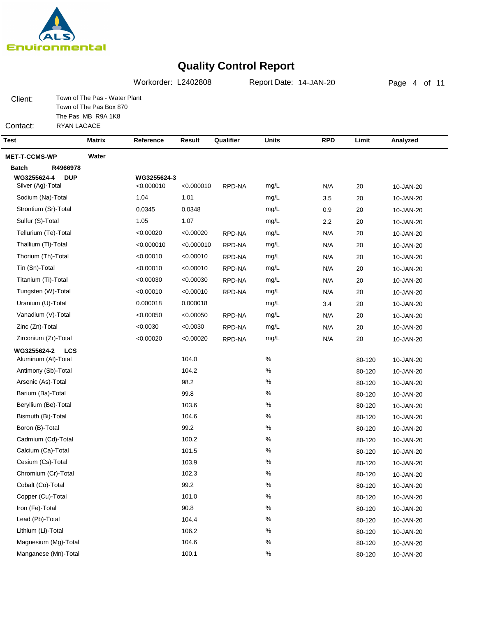

Manganese (Mn)-Total

### **Quality Control Report**

Page 4 of 11Client: Contact: Town of The Pas - Water Plant Town of The Pas Box 870 The Pas MB R9A 1K8 RYAN LAGACE Workorder: L2402808 Report Date: 14-JAN-20 **Test Matrix Reference Result Qualifier Units RPD Limit Analyzed MET-T-CCMS-WP Water Batch R4966978 DUP LCS WG3255624-4 WG3255624-2 WG3255624-3** Silver (Ag)-Total Sodium (Na)-Total Strontium (Sr)-Total Sulfur (S)-Total Tellurium (Te)-Total Thallium (Tl)-Total Thorium (Th)-Total Tin (Sn)-Total Titanium (Ti)-Total Tungsten (W)-Total Uranium (U)-Total Vanadium (V)-Total Zinc (Zn)-Total Zirconium (Zr)-Total Aluminum (Al)-Total Antimony (Sb)-Total Arsenic (As)-Total Barium (Ba)-Total Beryllium (Be)-Total Bismuth (Bi)-Total Boron (B)-Total Cadmium (Cd)-Total Calcium (Ca)-Total Cesium (Cs)-Total Chromium (Cr)-Total Cobalt (Co)-Total Copper (Cu)-Total Iron (Fe)-Total Lead (Pb)-Total Lithium (Li)-Total Magnesium (Mg)-Total <0.000010 1.01 0.0348 1.07 <0.00020 <0.000010 <0.00010 <0.00010 <0.00030 <0.00010 0.000018 <0.00050 <0.0030 <0.00020 104.0 104.2 98.2 99.8 103.6 104.6 99.2 100.2 101.5 103.9 102.3 99.2 101.0 90.8 104.4 106.2 104.6 10-JAN-20 10-JAN-20 10-JAN-20 10-JAN-20 10-JAN-20 10-JAN-20 10-JAN-20 10-JAN-20 10-JAN-20 10-JAN-20 10-JAN-20 10-JAN-20 10-JAN-20 10-JAN-20 10-JAN-20 10-JAN-20 10-JAN-20 10-JAN-20 10-JAN-20 10-JAN-20 10-JAN-20 10-JAN-20 10-JAN-20 10-JAN-20 10-JAN-20 10-JAN-20 10-JAN-20 10-JAN-20 10-JAN-20 10-JAN-20 10-JAN-20 N/A 3.5 0.9 2.2 N/A N/A N/A N/A N/A N/A 3.4 N/A N/A N/A 20 20 20 20 20 20 20 20 20 20 20 20 20 20 80-120 80-120 80-120 80-120 80-120 80-120 80-120 80-120 80-120 80-120 80-120 80-120 80-120 80-120 80-120 80-120 80-120 mg/L mg/L mg/L mg/L mg/L mg/L mg/L mg/L mg/L mg/L mg/L mg/L mg/L mg/L  $\frac{0}{6}$ % % % %  $\frac{0}{6}$ % % % % % % % % % % % <0.000010 1.04 0.0345 1.05 <0.00020 <0.000010 <0.00010 <0.00010 <0.00030 <0.00010 0.000018 <0.00050 <0.0030 <0.00020 RPD-NA RPD-NA RPD-NA RPD-NA RPD-NA RPD-NA RPD-NA RPD-NA RPD-NA RPD-NA

100.1

%

10-JAN-20

80-120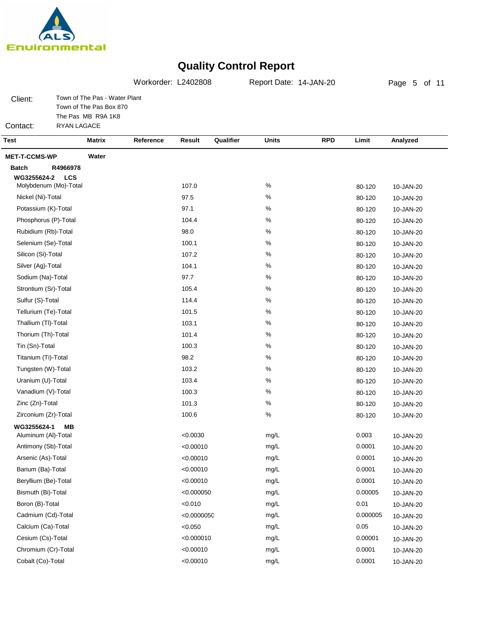

Client:

Contact:

# **Quality Control Report**

Page 5 of 11Town of The Pas - Water Plant Town of The Pas Box 870 The Pas MB R9A 1K8 RYAN LAGACE Workorder: L2402808 Report Date: 14-JAN-20 **Test Matrix Reference Result Qualifier Units RPD Limit Analyzed**

| <b>MET-T-CCMS-WP</b><br>Water |            |      |          |           |
|-------------------------------|------------|------|----------|-----------|
| <b>Batch</b><br>R4966978      |            |      |          |           |
| WG3255624-2<br><b>LCS</b>     |            |      |          |           |
| Molybdenum (Mo)-Total         | 107.0      | $\%$ | 80-120   | 10-JAN-20 |
| Nickel (Ni)-Total             | 97.5       | %    | 80-120   | 10-JAN-20 |
| Potassium (K)-Total           | 97.1       | $\%$ | 80-120   | 10-JAN-20 |
| Phosphorus (P)-Total          | 104.4      | $\%$ | 80-120   | 10-JAN-20 |
| Rubidium (Rb)-Total           | 98.0       | $\%$ | 80-120   | 10-JAN-20 |
| Selenium (Se)-Total           | 100.1      | $\%$ | 80-120   | 10-JAN-20 |
| Silicon (Si)-Total            | 107.2      | $\%$ | 80-120   | 10-JAN-20 |
| Silver (Ag)-Total             | 104.1      | $\%$ | 80-120   | 10-JAN-20 |
| Sodium (Na)-Total             | 97.7       | $\%$ | 80-120   | 10-JAN-20 |
| Strontium (Sr)-Total          | 105.4      | $\%$ | 80-120   | 10-JAN-20 |
| Sulfur (S)-Total              | 114.4      | $\%$ | 80-120   | 10-JAN-20 |
| Tellurium (Te)-Total          | 101.5      | $\%$ | 80-120   | 10-JAN-20 |
| Thallium (TI)-Total           | 103.1      | $\%$ | 80-120   | 10-JAN-20 |
| Thorium (Th)-Total            | 101.4      | $\%$ | 80-120   | 10-JAN-20 |
| Tin (Sn)-Total                | 100.3      | $\%$ | 80-120   | 10-JAN-20 |
| Titanium (Ti)-Total           | 98.2       | $\%$ | 80-120   | 10-JAN-20 |
| Tungsten (W)-Total            | 103.2      | $\%$ | 80-120   | 10-JAN-20 |
| Uranium (U)-Total             | 103.4      | $\%$ | 80-120   | 10-JAN-20 |
| Vanadium (V)-Total            | 100.3      | $\%$ | 80-120   | 10-JAN-20 |
| Zinc (Zn)-Total               | 101.3      | $\%$ | 80-120   | 10-JAN-20 |
| Zirconium (Zr)-Total          | 100.6      | $\%$ | 80-120   | 10-JAN-20 |
| WG3255624-1<br>MВ             |            |      |          |           |
| Aluminum (AI)-Total           | < 0.0030   | mg/L | 0.003    | 10-JAN-20 |
| Antimony (Sb)-Total           | < 0.00010  | mg/L | 0.0001   | 10-JAN-20 |
| Arsenic (As)-Total            | < 0.00010  | mg/L | 0.0001   | 10-JAN-20 |
| Barium (Ba)-Total             | < 0.00010  | mg/L | 0.0001   | 10-JAN-20 |
| Beryllium (Be)-Total          | < 0.00010  | mg/L | 0.0001   | 10-JAN-20 |
| Bismuth (Bi)-Total            | < 0.000050 | mg/L | 0.00005  | 10-JAN-20 |
| Boron (B)-Total               | < 0.010    | mg/L | 0.01     | 10-JAN-20 |
| Cadmium (Cd)-Total            | <0.000005C | mg/L | 0.000005 | 10-JAN-20 |
| Calcium (Ca)-Total            | < 0.050    | mg/L | 0.05     | 10-JAN-20 |
| Cesium (Cs)-Total             | < 0.000010 | mg/L | 0.00001  | 10-JAN-20 |
| Chromium (Cr)-Total           | < 0.00010  | mg/L | 0.0001   | 10-JAN-20 |
| Cobalt (Co)-Total             | < 0.00010  | mg/L | 0.0001   | 10-JAN-20 |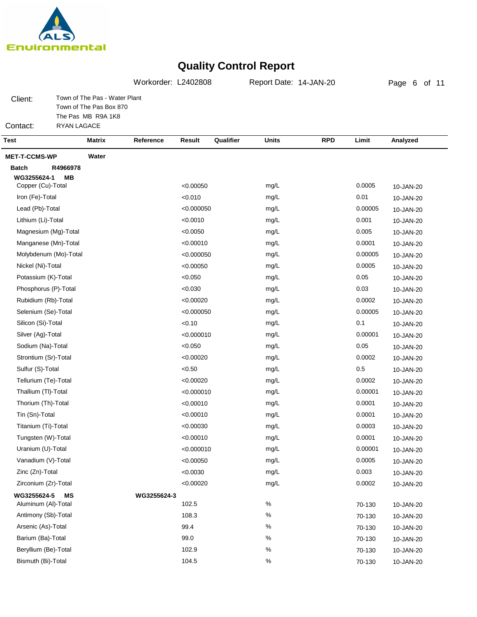

Page 6 of 11Client: Contact: Town of The Pas - Water Plant Town of The Pas Box 870 The Pas MB R9A 1K8 RYAN LAGACE Workorder: L2402808 Report Date: 14-JAN-20 **Test Matrix Reference Result Qualifier Units RPD Limit Analyzed MET-T-CCMS-WP Water Batch R4966978 MB MS WG3255624-1 WG3255624-5 WG3255624-3** Copper (Cu)-Total Iron (Fe)-Total Lead (Pb)-Total Lithium (Li)-Total Magnesium (Mg)-Total Manganese (Mn)-Total Molybdenum (Mo)-Total Nickel (Ni)-Total Potassium (K)-Total Phosphorus (P)-Total Rubidium (Rb)-Total Selenium (Se)-Total Silicon (Si)-Total Silver (Ag)-Total Sodium (Na)-Total Strontium (Sr)-Total Sulfur (S)-Total Tellurium (Te)-Total Thallium (Tl)-Total Thorium (Th)-Total Tin (Sn)-Total Titanium (Ti)-Total Tungsten (W)-Total Uranium (U)-Total Vanadium (V)-Total Zinc (Zn)-Total Zirconium (Zr)-Total Aluminum (Al)-Total Antimony (Sb)-Total Arsenic (As)-Total Barium (Ba)-Total Beryllium (Be)-Total Bismuth (Bi)-Total <0.00050 <0.010 <0.000050 <0.0010 <0.0050 <0.00010 <0.000050 <0.00050 <0.050 <0.030 <0.00020 <0.000050  $< 0.10$ <0.000010 <0.050 <0.00020  $<0.50$ <0.00020 <0.000010 <0.00010 <0.00010 <0.00030 <0.00010 <0.000010 <0.00050 <0.0030 <0.00020 102.5 108.3 99.4 99.0 102.9 104.5 10-JAN-20 10-JAN-20 10-JAN-20 10-JAN-20 10-JAN-20 10-JAN-20 10-JAN-20 10-JAN-20 10-JAN-20 10-JAN-20 10-JAN-20 10-JAN-20 10-JAN-20 10-JAN-20 10-JAN-20 10-JAN-20 10-JAN-20 10-JAN-20 10-JAN-20 10-JAN-20 10-JAN-20 10-JAN-20 10-JAN-20 10-JAN-20 10-JAN-20 10-JAN-20 10-JAN-20 10-JAN-20 10-JAN-20 10-JAN-20 10-JAN-20 10-JAN-20 10-JAN-20 70-130 70-130 70-130 70-130 70-130 70-130 mg/L mg/L mg/L mg/L mg/L mg/L mg/L mg/L mg/L mg/L mg/L mg/L mg/L mg/L mg/L mg/L mg/L mg/L mg/L mg/L mg/L mg/L mg/L mg/L mg/L mg/L mg/L % % % % % % 0.0005 0.01 0.00005 0.001 0.005 0.0001 0.00005 0.0005 0.05 0.03 0.0002 0.00005 0.1 0.00001 0.05 0.0002 0.5 0.0002 0.00001 0.0001 0.0001 0.0003 0.0001 0.00001 0.0005 0.003 0.0002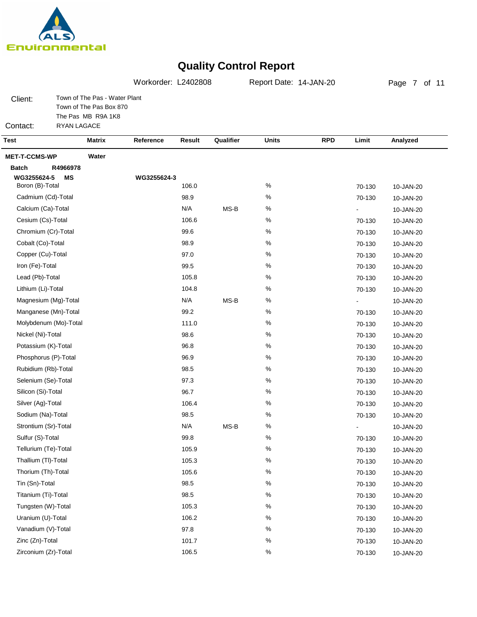

Vanadium (V)-Total Zinc (Zn)-Total Zirconium (Zr)-Total

### **Quality Control Report**

Page 7 of 11Client: Contact: Town of The Pas - Water Plant Town of The Pas Box 870 The Pas MB R9A 1K8 RYAN LAGACE Workorder: L2402808 Report Date: 14-JAN-20 **Test Matrix Reference Result Qualifier Units RPD Limit Analyzed MET-T-CCMS-WP Water Batch R4966978 WG3255624-5 MS WG3255624-3** Boron (B)-Total Cadmium (Cd)-Total Calcium (Ca)-Total Cesium (Cs)-Total Chromium (Cr)-Total Cobalt (Co)-Total Copper (Cu)-Total Iron (Fe)-Total Lead (Pb)-Total Lithium (Li)-Total Magnesium (Mg)-Total Manganese (Mn)-Total Molybdenum (Mo)-Total Nickel (Ni)-Total Potassium (K)-Total Phosphorus (P)-Total Rubidium (Rb)-Total Selenium (Se)-Total Silicon (Si)-Total Silver (Ag)-Total Sodium (Na)-Total Strontium (Sr)-Total Sulfur (S)-Total Tellurium (Te)-Total Thallium (Tl)-Total Thorium (Th)-Total Tin (Sn)-Total Titanium (Ti)-Total Tungsten (W)-Total Uranium (U)-Total 106.0 98.9 N/A 106.6 99.6 98.9 97.0 99.5 105.8 104.8 N/A 99.2 111.0 98.6 96.8 96.9 98.5 97.3 96.7 106.4 98.5 N/A 99.8 105.9 105.3 105.6 98.5 98.5 105.3 106.2 10-JAN-20 10-JAN-20 10-JAN-20 10-JAN-20 10-JAN-20 10-JAN-20 10-JAN-20 10-JAN-20 10-JAN-20 10-JAN-20 10-JAN-20 10-JAN-20 10-JAN-20 10-JAN-20 10-JAN-20 10-JAN-20 10-JAN-20 10-JAN-20 10-JAN-20 10-JAN-20 10-JAN-20 10-JAN-20 10-JAN-20 10-JAN-20 10-JAN-20 10-JAN-20 10-JAN-20 10-JAN-20 10-JAN-20 10-JAN-20 70-130 70-130 - 70-130 70-130 70-130 70-130 70-130 70-130 70-130 - 70-130 70-130 70-130 70-130 70-130 70-130 70-130 70-130 70-130 70-130 - 70-130 70-130 70-130 70-130 70-130 70-130 70-130 70-130 % % % % % % % % % % % % %  $\frac{0}{6}$ % % % %  $\frac{0}{6}$ % % % % % %  $\frac{0}{6}$ % % % % MS-B MS-B MS-B

> 97.8 101.7 106.5

% % % 10-JAN-20 10-JAN-20 10-JAN-20

70-130 70-130 70-130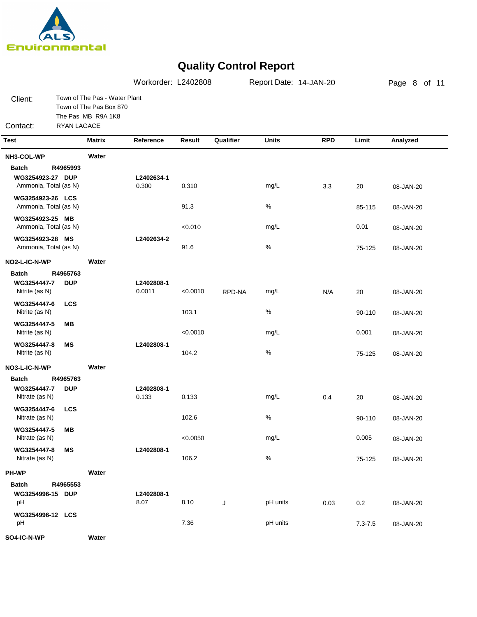

|                                                           |                        |                                                                                | Workorder: L2402808  |          |           | Report Date: 14-JAN-20 |            |             | Page 8 of 11 |
|-----------------------------------------------------------|------------------------|--------------------------------------------------------------------------------|----------------------|----------|-----------|------------------------|------------|-------------|--------------|
| Client:<br>Contact:                                       | <b>RYAN LAGACE</b>     | Town of The Pas - Water Plant<br>Town of The Pas Box 870<br>The Pas MB R9A 1K8 |                      |          |           |                        |            |             |              |
| <b>Test</b>                                               |                        | <b>Matrix</b>                                                                  | Reference            | Result   | Qualifier | <b>Units</b>           | <b>RPD</b> | Limit       | Analyzed     |
|                                                           |                        |                                                                                |                      |          |           |                        |            |             |              |
| NH3-COL-WP                                                |                        | Water                                                                          |                      |          |           |                        |            |             |              |
| <b>Batch</b><br>WG3254923-27 DUP<br>Ammonia, Total (as N) | R4965993               |                                                                                | L2402634-1<br>0.300  | 0.310    |           | mg/L                   | 3.3        | 20          | 08-JAN-20    |
| WG3254923-26 LCS<br>Ammonia, Total (as N)                 |                        |                                                                                |                      | 91.3     |           | $\%$                   |            | 85-115      | 08-JAN-20    |
| WG3254923-25 MB<br>Ammonia, Total (as N)                  |                        |                                                                                |                      | < 0.010  |           | mg/L                   |            | 0.01        | 08-JAN-20    |
| WG3254923-28 MS<br>Ammonia, Total (as N)                  |                        |                                                                                | L2402634-2           | 91.6     |           | $\%$                   |            | 75-125      | 08-JAN-20    |
| NO2-L-IC-N-WP                                             |                        | Water                                                                          |                      |          |           |                        |            |             |              |
| <b>Batch</b><br>WG3254447-7<br>Nitrite (as N)             | R4965763<br><b>DUP</b> |                                                                                | L2402808-1<br>0.0011 | < 0.0010 | RPD-NA    | mg/L                   | N/A        | 20          | 08-JAN-20    |
| WG3254447-6<br>Nitrite (as N)                             | <b>LCS</b>             |                                                                                |                      | 103.1    |           | %                      |            | 90-110      | 08-JAN-20    |
| WG3254447-5<br>Nitrite (as N)                             | MВ                     |                                                                                |                      | < 0.0010 |           | mg/L                   |            | 0.001       | 08-JAN-20    |
| WG3254447-8<br>Nitrite (as N)                             | МS                     |                                                                                | L2402808-1           | 104.2    |           | %                      |            | 75-125      | 08-JAN-20    |
| NO3-L-IC-N-WP                                             |                        | Water                                                                          |                      |          |           |                        |            |             |              |
| <b>Batch</b><br>WG3254447-7<br>Nitrate (as N)             | R4965763<br><b>DUP</b> |                                                                                | L2402808-1<br>0.133  | 0.133    |           | mg/L                   | 0.4        | 20          | 08-JAN-20    |
| WG3254447-6<br>Nitrate (as N)                             | <b>LCS</b>             |                                                                                |                      | 102.6    |           | $\%$                   |            | 90-110      | 08-JAN-20    |
| WG3254447-5<br>Nitrate (as N)                             | MВ                     |                                                                                |                      | < 0.0050 |           | mg/L                   |            | 0.005       | 08-JAN-20    |
| WG3254447-8<br>Nitrate (as N)                             | MS                     |                                                                                | L2402808-1           | 106.2    |           | $\%$                   |            | 75-125      | 08-JAN-20    |
| PH-WP                                                     |                        | Water                                                                          |                      |          |           |                        |            |             |              |
| <b>Batch</b><br>WG3254996-15 DUP<br>pH                    | R4965553               |                                                                                | L2402808-1<br>8.07   | 8.10     | J         | pH units               | 0.03       | 0.2         | 08-JAN-20    |
| WG3254996-12 LCS<br>pH                                    |                        |                                                                                |                      | 7.36     |           | pH units               |            | $7.3 - 7.5$ | 08-JAN-20    |
| SO4-IC-N-WP                                               |                        | Water                                                                          |                      |          |           |                        |            |             |              |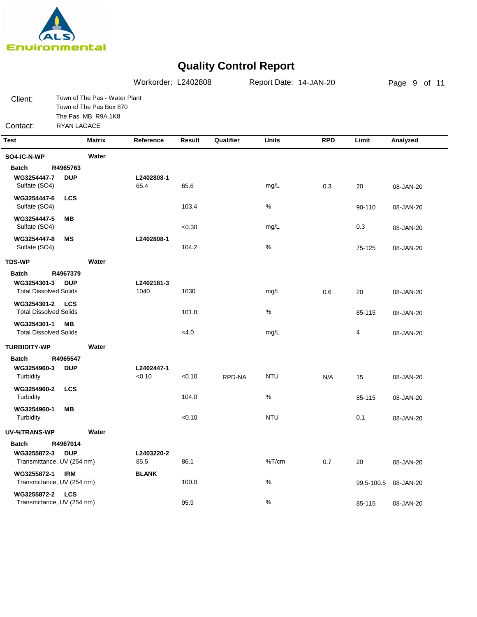

|                                               |                    |                                                                                | Workorder: L2402808  |        |           | Report Date: 14-JAN-20 |            |            | Page 9 of 11 |
|-----------------------------------------------|--------------------|--------------------------------------------------------------------------------|----------------------|--------|-----------|------------------------|------------|------------|--------------|
| Client:                                       |                    | Town of The Pas - Water Plant<br>Town of The Pas Box 870<br>The Pas MB R9A 1K8 |                      |        |           |                        |            |            |              |
| Contact:                                      | <b>RYAN LAGACE</b> |                                                                                |                      |        |           |                        |            |            |              |
| <b>Test</b>                                   |                    | Matrix                                                                         | Reference            | Result | Qualifier | <b>Units</b>           | <b>RPD</b> | Limit      | Analyzed     |
| SO4-IC-N-WP                                   |                    | Water                                                                          |                      |        |           |                        |            |            |              |
| <b>Batch</b>                                  | R4965763           |                                                                                |                      |        |           |                        |            |            |              |
| WG3254447-7<br>Sulfate (SO4)                  | <b>DUP</b>         |                                                                                | L2402808-1<br>65.4   | 65.6   |           | mg/L                   | 0.3        | 20         | 08-JAN-20    |
| WG3254447-6<br>Sulfate (SO4)                  | <b>LCS</b>         |                                                                                |                      | 103.4  |           | %                      |            | 90-110     | 08-JAN-20    |
| WG3254447-5<br>Sulfate (SO4)                  | MВ                 |                                                                                |                      | < 0.30 |           | mg/L                   |            | 0.3        | 08-JAN-20    |
| WG3254447-8<br>Sulfate (SO4)                  | ΜS                 |                                                                                | L2402808-1           | 104.2  |           | %                      |            | 75-125     | 08-JAN-20    |
| <b>TDS-WP</b>                                 |                    | Water                                                                          |                      |        |           |                        |            |            |              |
| <b>Batch</b>                                  | R4967379           |                                                                                |                      |        |           |                        |            |            |              |
| WG3254301-3<br><b>Total Dissolved Solids</b>  | <b>DUP</b>         |                                                                                | L2402181-3<br>1040   | 1030   |           | mg/L                   | 0.6        | 20         | 08-JAN-20    |
| WG3254301-2<br><b>Total Dissolved Solids</b>  | <b>LCS</b>         |                                                                                |                      | 101.8  |           | %                      |            | 85-115     | 08-JAN-20    |
| WG3254301-1<br><b>Total Dissolved Solids</b>  | MВ                 |                                                                                |                      | <4.0   |           | mg/L                   |            | 4          | 08-JAN-20    |
| <b>TURBIDITY-WP</b>                           |                    | Water                                                                          |                      |        |           |                        |            |            |              |
| <b>Batch</b>                                  | R4965547           |                                                                                |                      |        |           |                        |            |            |              |
| WG3254960-3<br>Turbidity                      | <b>DUP</b>         |                                                                                | L2402447-1<br>< 0.10 | < 0.10 | RPD-NA    | <b>NTU</b>             | N/A        | 15         | 08-JAN-20    |
| WG3254960-2<br>Turbidity                      | <b>LCS</b>         |                                                                                |                      | 104.0  |           | $\%$                   |            | 85-115     | 08-JAN-20    |
| WG3254960-1<br>Turbidity                      | <b>MB</b>          |                                                                                |                      | < 0.10 |           | <b>NTU</b>             |            | 0.1        | 08-JAN-20    |
| UV-%TRANS-WP                                  |                    | Water                                                                          |                      |        |           |                        |            |            |              |
| <b>Batch</b>                                  | R4967014           |                                                                                |                      |        |           |                        |            |            |              |
| WG3255872-3 DUP<br>Transmittance, UV (254 nm) |                    |                                                                                | L2403220-2<br>85.5   | 86.1   |           | %T/cm                  | 0.7        | 20         | 08-JAN-20    |
| WG3255872-1<br>Transmittance, UV (254 nm)     | IRM                |                                                                                | <b>BLANK</b>         | 100.0  |           | %                      |            | 99.5-100.5 | 08-JAN-20    |
| WG3255872-2 LCS<br>Transmittance, UV (254 nm) |                    |                                                                                |                      | 95.9   |           | %                      |            | 85-115     | 08-JAN-20    |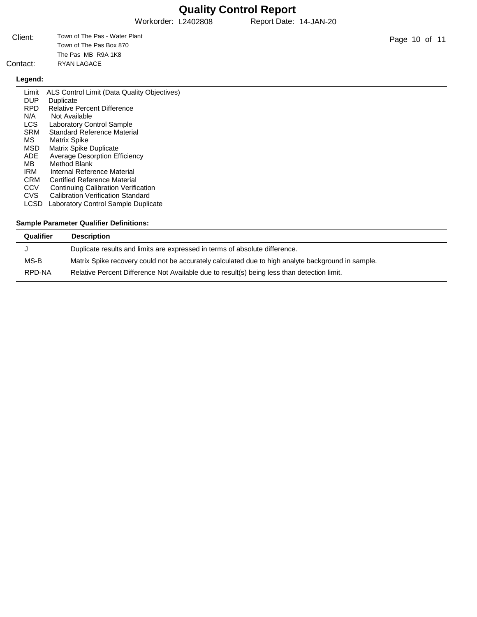Workorder: L2402808 Report Date: 14-JAN-20

| Client:  | Town of The Pas - Water Plant |
|----------|-------------------------------|
|          | Town of The Pas Box 870       |
|          | The Pas MB R9A 1K8            |
| Contact: | RYAN LAGACE                   |

### **Legend:**

| Limit       | ALS Control Limit (Data Quality Objectives) |
|-------------|---------------------------------------------|
| <b>DUP</b>  | Duplicate                                   |
| <b>RPD</b>  | <b>Relative Percent Difference</b>          |
| N/A         | Not Available                               |
| LCS.        | <b>Laboratory Control Sample</b>            |
| <b>SRM</b>  | Standard Reference Material                 |
| MS          | <b>Matrix Spike</b>                         |
| <b>MSD</b>  | Matrix Spike Duplicate                      |
| <b>ADE</b>  | <b>Average Desorption Efficiency</b>        |
| МB          | Method Blank                                |
| <b>IRM</b>  | Internal Reference Material                 |
| <b>CRM</b>  | <b>Certified Reference Material</b>         |
| <b>CCV</b>  | <b>Continuing Calibration Verification</b>  |
| <b>CVS</b>  | <b>Calibration Verification Standard</b>    |
| <b>LCSD</b> | Laboratory Control Sample Duplicate         |

| Qualifier | <b>Description</b>                                                                                 |
|-----------|----------------------------------------------------------------------------------------------------|
|           | Duplicate results and limits are expressed in terms of absolute difference.                        |
| MS-B      | Matrix Spike recovery could not be accurately calculated due to high analyte background in sample. |
| RPD-NA    | Relative Percent Difference Not Available due to result(s) being less than detection limit.        |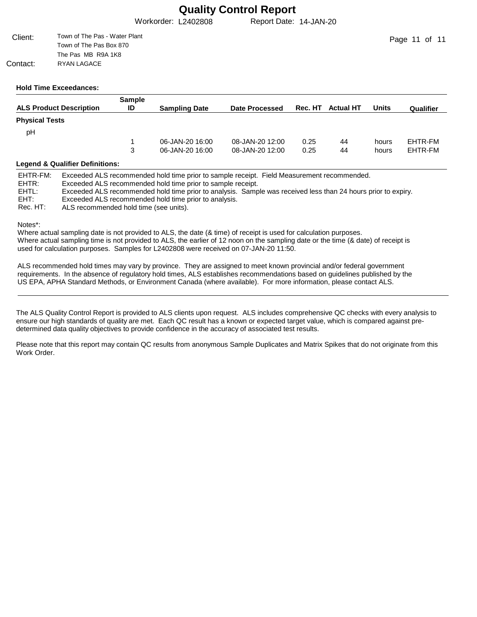Workorder: L2402808 Report Date: 14-JAN-20

| Client:  | Town of The Pas - Water Plant |
|----------|-------------------------------|
|          | Town of The Pas Box 870       |
|          | The Pas MB R9A 1K8            |
| Contact: | RYAN LAGACE                   |

#### **Hold Time Exceedances:**

|                                | <b>Sample</b> |                      |                 |         |                  |       |           |
|--------------------------------|---------------|----------------------|-----------------|---------|------------------|-------|-----------|
| <b>ALS Product Description</b> | ID            | <b>Sampling Date</b> | Date Processed  | Rec. HT | <b>Actual HT</b> | Units | Qualifier |
| <b>Physical Tests</b>          |               |                      |                 |         |                  |       |           |
| pH                             |               |                      |                 |         |                  |       |           |
|                                |               | 06-JAN-20 16:00      | 08-JAN-20 12:00 | 0.25    | 44               | hours | EHTR-FM   |
|                                | 3             | 06-JAN-20 16:00      | 08-JAN-20 12:00 | 0.25    | 44               | hours | EHTR-FM   |
|                                |               |                      |                 |         |                  |       |           |

#### **Legend & Qualifier Definitions:**

| EHTR-FM: | Exceeded ALS recommended hold time prior to sample receipt. Field Measurement recommended.                    |
|----------|---------------------------------------------------------------------------------------------------------------|
| EHTR:    | Exceeded ALS recommended hold time prior to sample receipt.                                                   |
| EHTL:    | Exceeded ALS recommended hold time prior to analysis. Sample was received less than 24 hours prior to expiry. |
| EHT:     | Exceeded ALS recommended hold time prior to analysis.                                                         |
| Rec. HT: | ALS recommended hold time (see units).                                                                        |

Notes\*:

Where actual sampling date is not provided to ALS, the date (& time) of receipt is used for calculation purposes. Where actual sampling time is not provided to ALS, the earlier of 12 noon on the sampling date or the time (& date) of receipt is used for calculation purposes. Samples for L2402808 were received on 07-JAN-20 11:50.

ALS recommended hold times may vary by province. They are assigned to meet known provincial and/or federal government requirements. In the absence of regulatory hold times, ALS establishes recommendations based on guidelines published by the US EPA, APHA Standard Methods, or Environment Canada (where available). For more information, please contact ALS.

The ALS Quality Control Report is provided to ALS clients upon request. ALS includes comprehensive QC checks with every analysis to ensure our high standards of quality are met. Each QC result has a known or expected target value, which is compared against predetermined data quality objectives to provide confidence in the accuracy of associated test results.

Please note that this report may contain QC results from anonymous Sample Duplicates and Matrix Spikes that do not originate from this Work Order.